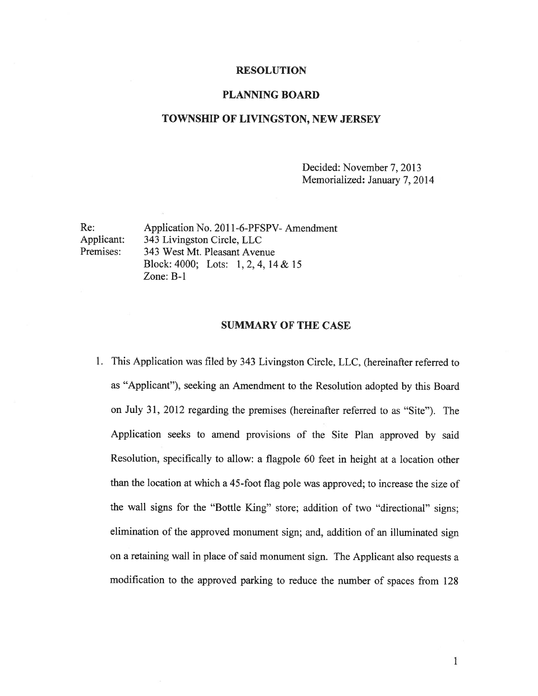#### RESOLUTION

### PLANNING BOARD

#### TOWNSHIP OF LIVINGSTON, NEW JERSEY

Decided: November 7, 2013 Memorialized: January 7, 2014

Re: Application No. 2011-6-PFSPV- Amendment Applicant: 343 Livingston Circle, LLC Premises: 343 West Mt. Pleasant Avenue Block: 4000; Lots: 1,2,4, 14 & 15 Zone: B-i

#### SUMMARY OF THE CASE

1. This Application was filed by 343 Livingston Circle, LLC, (hereinafter referred to as "Applicant"), seeking an Amendment to the Resolution adopted by this Board on July 31, 2012 regarding the premises (hereinafter referred to as "Site"). The Application seeks to amend provisions of the Site Plan approve<sup>d</sup> by said Resolution, specifically to allow: <sup>a</sup> flagpole <sup>60</sup> feet in height at <sup>a</sup> location other than the location at which <sup>a</sup> 45-foot flag pole was approved; to increase the size of the wall signs for the "Bottle King" store; addition of two "directional" signs; elimination of the approve<sup>d</sup> monument sign; and, addition of an illuminated sign on <sup>a</sup> retaining wall in <sup>p</sup>lace of said monument sign. The Applicant also requests <sup>a</sup> modification to the approve<sup>d</sup> parking to reduce the number of spaces from <sup>128</sup>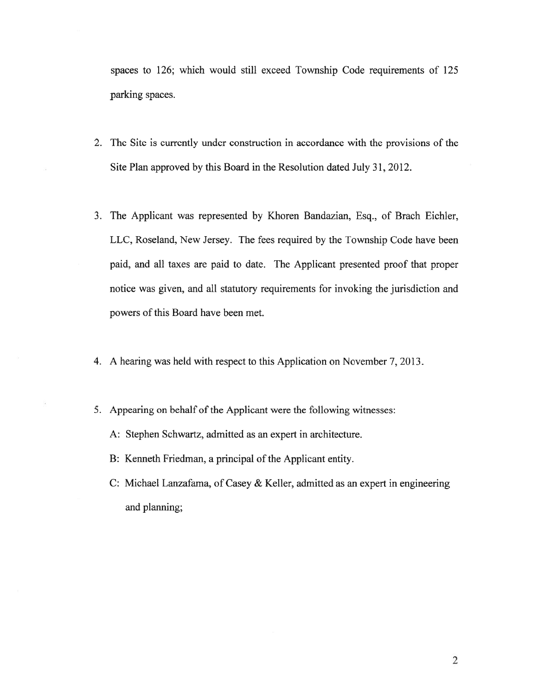spaces to 126; which would still exceed Township Code requirements of 125 parking spaces.

- 2. The Site is currently under construction in accordance with the provisions of the Site Plan approved by this Board in the Resolution dated July 31, 2012.
- 3. The Applicant was represented by Khoren Bandazian, Esq., of Brach Eichler, LLC, Roseland, New Jersey. The fees required by the Township Code have been paid, and all taxes are paid to date. The Applicant presented proof that proper notice was given, and all statutory requirements for invoking the jurisdiction and powers of this Board have been met.
- 4. A hearing was held with respec<sup>t</sup> to this Application on November 7, 2013.
- 5. Appearing on behalf of the Applicant were the following witnesses:
	- A: Stephen Schwartz, admitted as an exper<sup>t</sup> in architecture.
	- B: Kenneth Friedman, <sup>a</sup> principal of the Applicant entity.
	- C: Michael Lanzafama, of Casey & Keller, admitted as an exper<sup>t</sup> in engineering and planning;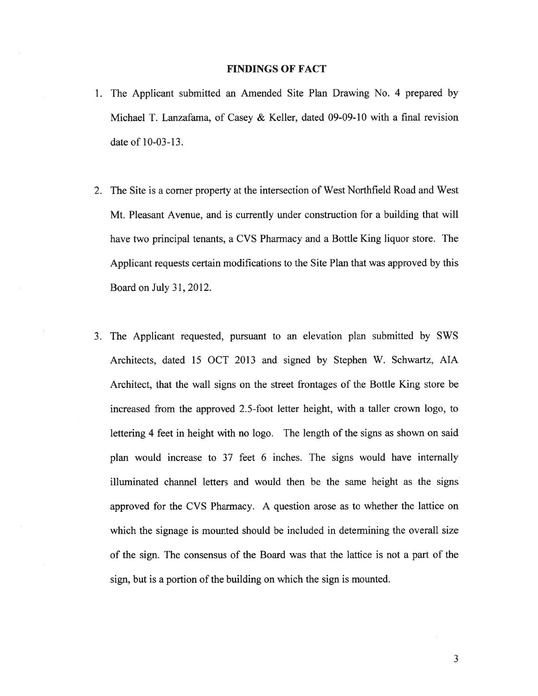## FINDINGS OF FACT

- 1. The Applicant submitted an Amended Site Plan Drawing No. 4 prepared by Michael I. Lanzafama, of Casey & Keller, dated 09-09-10 with <sup>a</sup> final revision date of 10-03-13.
- 2. The Site is <sup>a</sup> corner property at the intersection of West Northfield Road and West Mt. Pleasant Avenue, and is currently under construction for <sup>a</sup> building that will have two principal tenants, <sup>a</sup> CVS Pharmacy and <sup>a</sup> Bottle King liquor store. The Applicant requests certain modifications to the Site Plan that was approved by this Board on July 31, 2012.
- 3. The Applicant requested, pursuan<sup>t</sup> to an elevation plan submitted by SWS Architects, dated 15 OCT 2013 and signed by Stephen W. Schwartz, AlA Architect, that the wall signs on the street frontages of the Bottle King store be increased from the approved 2.5-foot letter height, with <sup>a</sup> taller crown logo, to lettering 4 feet in height with no logo. The length of the signs as shown on said plan would increase to 37 feet 6 inches. The signs would have internally illuminated channel letters and would then be the same height as the signs approved for the CVS Pharmacy. A question arose as to whether the lattice on which the signage is mounted should be included in determining the overall size of the sign. The consensus of the Board was that the lattice is not <sup>a</sup> par<sup>t</sup> of the sign, but is <sup>a</sup> portion of the building on which the sign is mounted.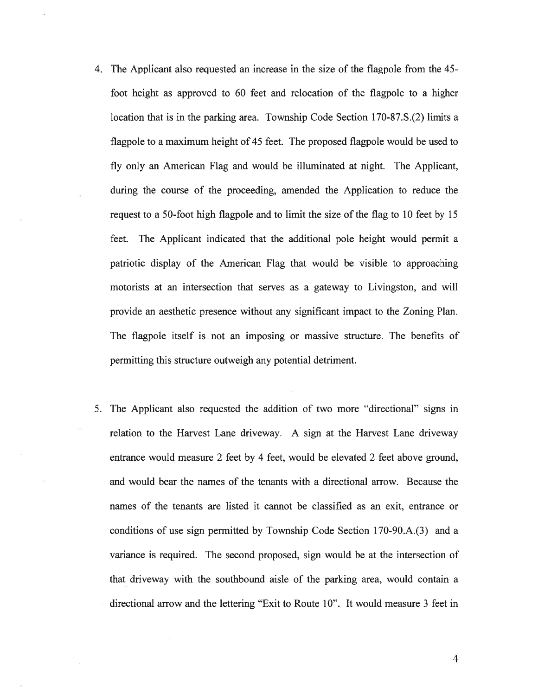- 4. The Applicant also requested an increase in the size of the flagpole from the 45 foot height as approved to 60 feet and relocation of the flagpole to <sup>a</sup> higher location that is in the parking area. Township Code Section 170-87.S.(2) limits <sup>a</sup> flagpole to <sup>a</sup> maximum height of 45 feet. The proposed flagpole would be used to fly only an American Flag and would be illuminated at night. The Applicant, during the course of the proceeding, amended the Application to reduce the reques<sup>t</sup> to <sup>a</sup> 50-foot high flagpole and to limit the size of the flag to 10 feet by 15 feet. The Applicant indicated that the additional pole height would permit <sup>a</sup> patriotic display of the American Flag that would be visible to approaching motorists at an intersection that serves as <sup>a</sup> gateway to Livingston, and will provide an aesthetic presence without any significant impact to the Zoning Plan. The flagpole itself is not an imposing or massive structure. The benefits of permitting this structure outweigh any potential detriment.
- 5. The Applicant also requested the addition of two more "directional" signs in relation to the Harvest Lane driveway. A sign at the Harvest Lane driveway entrance would measure 2 feet by 4 feet, would be elevated 2 feet above ground, and would bear the names of the tenants with <sup>a</sup> directional arrow. Because the names of the tenants are listed it cannot be classified as an exit, entrance or conditions of use sign permitted by Township Code Section 170-90.A.(3) and <sup>a</sup> variance is required. The second proposed, sign would be at the intersection of that driveway with the southbound aisle of the parking area, would contain <sup>a</sup> directional arrow and the lettering "Exit to Route 10". It would measure 3 feet in

4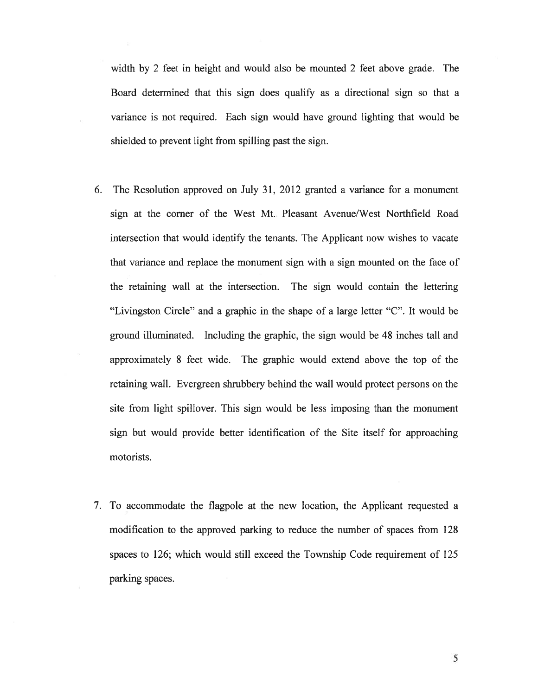width by 2 feet in height and would also be mounted 2 feet above grade. The Board determined that this sign does qualify as <sup>a</sup> directional sign so that <sup>a</sup> variance is not required. Each sign would have ground lighting that would be shielded to preven<sup>t</sup> light from spilling pas<sup>t</sup> the sign.

- 6. The Resolution approved on July 31, 2012 granted <sup>a</sup> variance for <sup>a</sup> monument sign at the corner of the West Mt. Pleasant Avenue/West Northfield Road intersection that would identify the tenants. The Applicant now wishes to vacate that variance and replace the monument sign with <sup>a</sup> sign mounted on the face of the retaining wall at the intersection. The sign would contain the lettering "Livingston Circle" and <sup>a</sup> graphic in the shape of <sup>a</sup> large letter "C". It would be ground illuminated. Including the graphic, the sign would be 48 inches tall and approximately 8 feet wide. The graphic would extend above the top of the retaining wall. Evergreen shrubbery behind the wall would protect persons on the site from light spillover. This sign would be less imposing than the monument sign but would provide better identification of the Site itself for approaching motorists.
- 7. To accommodate the flagpole at the new location, the Applicant requested <sup>a</sup> modification to the approved parking to reduce the number of spaces from 128 spaces to 126; which would still exceed the Township Code requirement of 125 parking spaces.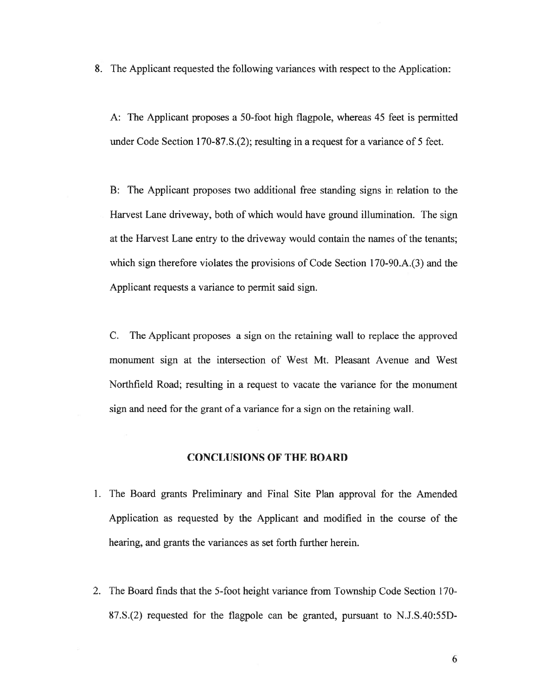8. The Applicant requested the following variances with respec<sup>t</sup> to the Application:

A: The Applicant proposes <sup>a</sup> 50-foot high flagpole, whereas 45 feet is permitted under Code Section 1 70-87.S.(2); resulting in <sup>a</sup> reques<sup>t</sup> for <sup>a</sup> variance of 5 feet.

13: The Applicant proposes two additional free standing signs in relation to the Harvest Lane driveway, both of which would have ground illumination. The sign at the Harvest Lane entry to the driveway would contain the names of the tenants; which sign therefore violates the provisions of Code Section 170-90.A.(3) and the Applicant requests <sup>a</sup> variance to permit said sign.

C. The Applicant proposes <sup>a</sup> sign on the retaining wall to replace the approved monument sign at the intersection of West Mt. Pleasant Avenue and West Northfield Road; resulting in <sup>a</sup> reques<sup>t</sup> to vacate the variance for the monument sign and need for the gran<sup>t</sup> of <sup>a</sup> variance for <sup>a</sup> sign on the retaining wall.

# CONCLUSIONS OF THE BOARD

- 1. The Board grants Preliminary and Final Site Plan approval for the Amended Application as requested by the Applicant and modified in the course of the hearing, and grants the variances as set forth further herein.
- 2. The Board finds that the 5-foot height variance from Township Code Section 170- 87.S.(2) requested for the flagpole can be granted, pursuan<sup>t</sup> to N.J.S.40:55D-

6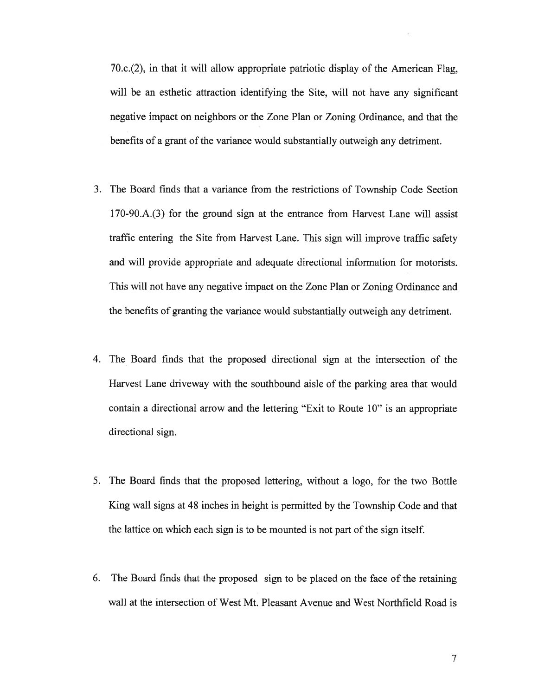70.c.(2), in that it will allow appropriate patriotic display of the American Flag, will be an esthetic attraction identifying the Site, will not have any significant negative impact on neighbors or the Zone Plan or Zoning Ordinance, and that the benefits of <sup>a</sup> gran<sup>t</sup> of the variance would substantially outweigh any detriment.

- 3. The Board finds that <sup>a</sup> variance from the restrictions of Township Code Section 1 70-90.A.(3) for the ground sign at the entrance from Harvest Lane will assist traffic entering the Site from Harvest Lane. This sign will improve traffic safety and will provide appropriate and adequate directional information for motorists. This will not have any negative impact on the Zone Plan or Zoning Ordinance and the benefits of granting the variance would substantially outweigh any detriment.
- 4. The Board finds that the proposed directional sign at the intersection of the Harvest Lane driveway with the southbound aisle of the parking area that would contain <sup>a</sup> directional arrow and the lettering "Exit to Route 10" is an appropriate directional sign.
- 5. The Board finds that the proposed lettering, without <sup>a</sup> logo, for the two Bottle King wall signs at 48 inches in height is permitted by the Township Code and that the lattice on which each sign is to be mounted is not par<sup>t</sup> of the sign itself.
- 6. The Board finds that the proposed sign to be placed on the face of the retaining wall at the intersection of West Mt. Pleasant Avenue and West Northfield Road is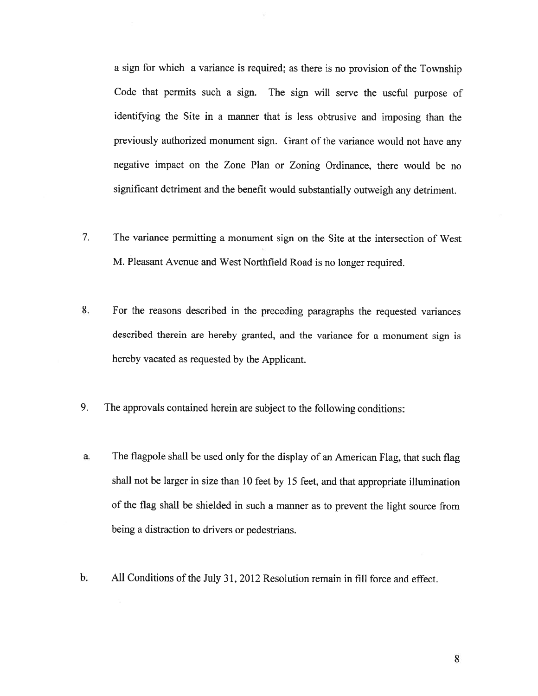<sup>a</sup> sign for which <sup>a</sup> variance is required; as there is no provision of the Township Code that permits such <sup>a</sup> sign. The sign will serve the useful purpose of identifying the Site in <sup>a</sup> manner that is less obtrusive and imposing than the previously authorized monument sign. Grant of the variance would not have any negative impact on the Zone Plan or Zoning Ordinance, there would be no significant detriment and the benefit would substantially outweigh any detriment.

- 7. The variance permitting <sup>a</sup> monument sign on the Site at the intersection of West M. Pleasant Avenue and West Northfield Road is no longer required.
- 8. For the reasons described in the preceding paragraphs the requested variances described therein are hereby granted, and the variance for <sup>a</sup> monument sign is hereby vacated as requested by the Applicant.
- 9. The approvals contained herein are subject to the following conditions:
- a. The flagpole shall be used only for the display of an American Flag, that such flag shall not be larger in size than <sup>10</sup> feet by <sup>15</sup> feet, and that appropriate illumination of the flag shall be shielded in such <sup>a</sup> manner as to preven<sup>t</sup> the light source from being <sup>a</sup> distraction to drivers or pedestrians.
- b. All Conditions of the July 31, 2012 Resolution remain in fill force and effect.